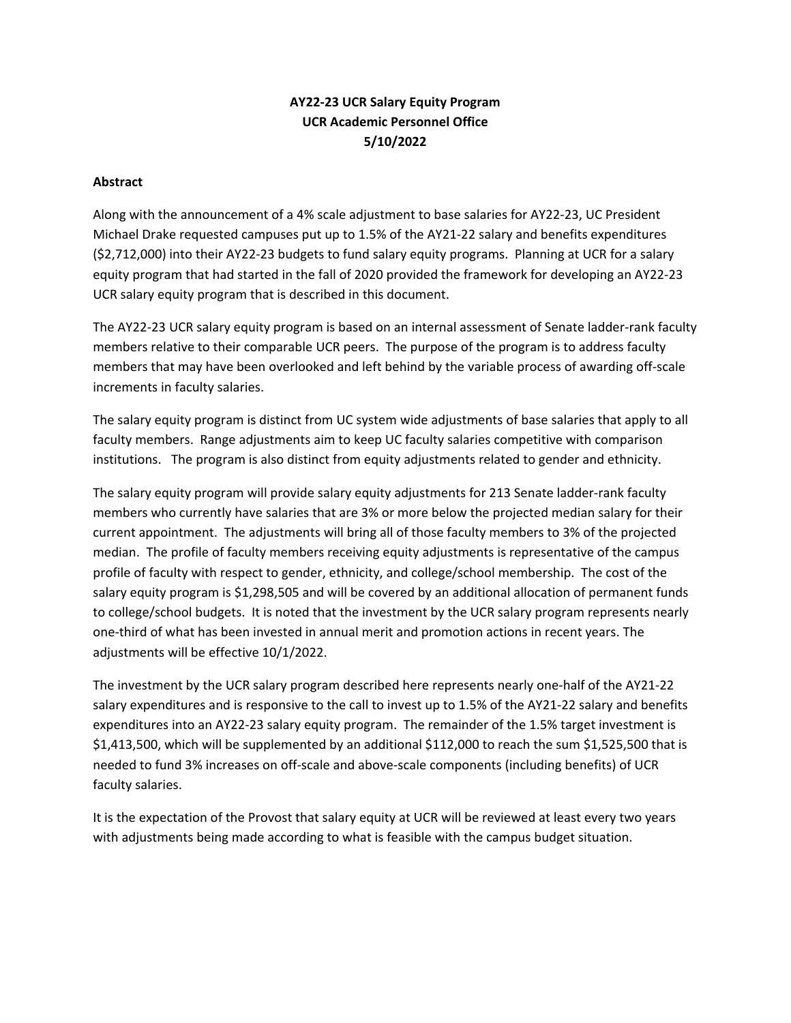# **AY22‐23 UCR Salary Equity Program UCR Academic Personnel Office 5/10/2022**

#### **Abstract**

Along with the announcement of a 4% scale adjustment to base salaries for AY22‐23, UC President Michael Drake requested campuses put up to 1.5% of the AY21‐22 salary and benefits expenditures (\$2,712,000) into their AY22‐23 budgets to fund salary equity programs. Planning at UCR for a salary equity program that had started in the fall of 2020 provided the framework for developing an AY22‐23 UCR salary equity program that is described in this document.

The AY22‐23 UCR salary equity program is based on an internal assessment of Senate ladder‐rank faculty members relative to their comparable UCR peers. The purpose of the program is to address faculty members that may have been overlooked and left behind by the variable process of awarding off‐scale increments in faculty salaries.

The salary equity program is distinct from UC system wide adjustments of base salaries that apply to all faculty members. Range adjustments aim to keep UC faculty salaries competitive with comparison institutions. The program is also distinct from equity adjustments related to gender and ethnicity.

The salary equity program will provide salary equity adjustments for 213 Senate ladder‐rank faculty members who currently have salaries that are 3% or more below the projected median salary for their current appointment. The adjustments will bring all of those faculty members to 3% of the projected median. The profile of faculty members receiving equity adjustments is representative of the campus profile of faculty with respect to gender, ethnicity, and college/school membership. The cost of the salary equity program is \$1,298,505 and will be covered by an additional allocation of permanent funds to college/school budgets. It is noted that the investment by the UCR salary program represents nearly one‐third of what has been invested in annual merit and promotion actions in recent years. The adjustments will be effective 10/1/2022.

The investment by the UCR salary program described here represents nearly one‐half of the AY21‐22 salary expenditures and is responsive to the call to invest up to 1.5% of the AY21-22 salary and benefits expenditures into an AY22‐23 salary equity program. The remainder of the 1.5% target investment is \$1,413,500, which will be supplemented by an additional \$112,000 to reach the sum \$1,525,500 that is needed to fund 3% increases on off‐scale and above‐scale components (including benefits) of UCR faculty salaries.

It is the expectation of the Provost that salary equity at UCR will be reviewed at least every two years with adjustments being made according to what is feasible with the campus budget situation.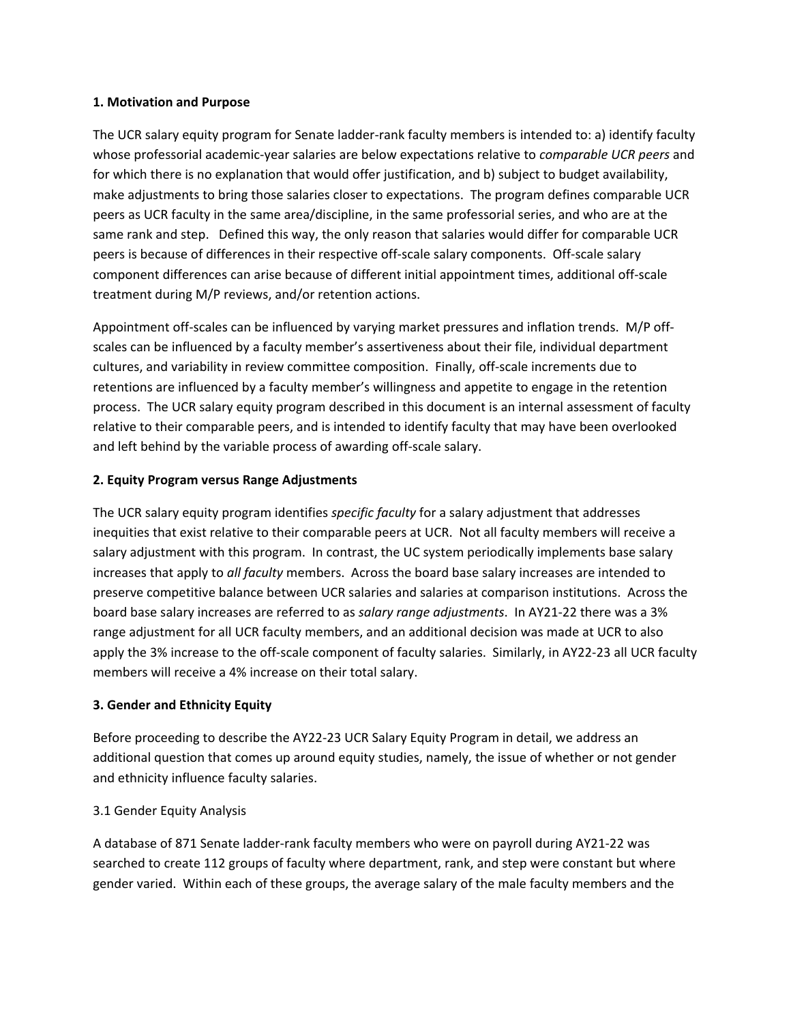### **1. Motivation and Purpose**

The UCR salary equity program for Senate ladder-rank faculty members is intended to: a) identify faculty whose professorial academic‐year salaries are below expectations relative to *comparable UCR peers* and for which there is no explanation that would offer justification, and b) subject to budget availability, make adjustments to bring those salaries closer to expectations. The program defines comparable UCR peers as UCR faculty in the same area/discipline, in the same professorial series, and who are at the same rank and step. Defined this way, the only reason that salaries would differ for comparable UCR peers is because of differences in their respective off‐scale salary components. Off‐scale salary component differences can arise because of different initial appointment times, additional off‐scale treatment during M/P reviews, and/or retention actions.

Appointment off-scales can be influenced by varying market pressures and inflation trends. M/P offscales can be influenced by a faculty member's assertiveness about their file, individual department cultures, and variability in review committee composition. Finally, off‐scale increments due to retentions are influenced by a faculty member's willingness and appetite to engage in the retention process. The UCR salary equity program described in this document is an internal assessment of faculty relative to their comparable peers, and is intended to identify faculty that may have been overlooked and left behind by the variable process of awarding off‐scale salary.

### **2. Equity Program versus Range Adjustments**

The UCR salary equity program identifies *specific faculty* for a salary adjustment that addresses inequities that exist relative to their comparable peers at UCR. Not all faculty members will receive a salary adjustment with this program. In contrast, the UC system periodically implements base salary increases that apply to *all faculty* members. Across the board base salary increases are intended to preserve competitive balance between UCR salaries and salaries at comparison institutions. Across the board base salary increases are referred to as *salary range adjustments*. In AY21‐22 there was a 3% range adjustment for all UCR faculty members, and an additional decision was made at UCR to also apply the 3% increase to the off‐scale component of faculty salaries. Similarly, in AY22‐23 all UCR faculty members will receive a 4% increase on their total salary.

### **3. Gender and Ethnicity Equity**

Before proceeding to describe the AY22‐23 UCR Salary Equity Program in detail, we address an additional question that comes up around equity studies, namely, the issue of whether or not gender and ethnicity influence faculty salaries.

### 3.1 Gender Equity Analysis

A database of 871 Senate ladder‐rank faculty members who were on payroll during AY21‐22 was searched to create 112 groups of faculty where department, rank, and step were constant but where gender varied. Within each of these groups, the average salary of the male faculty members and the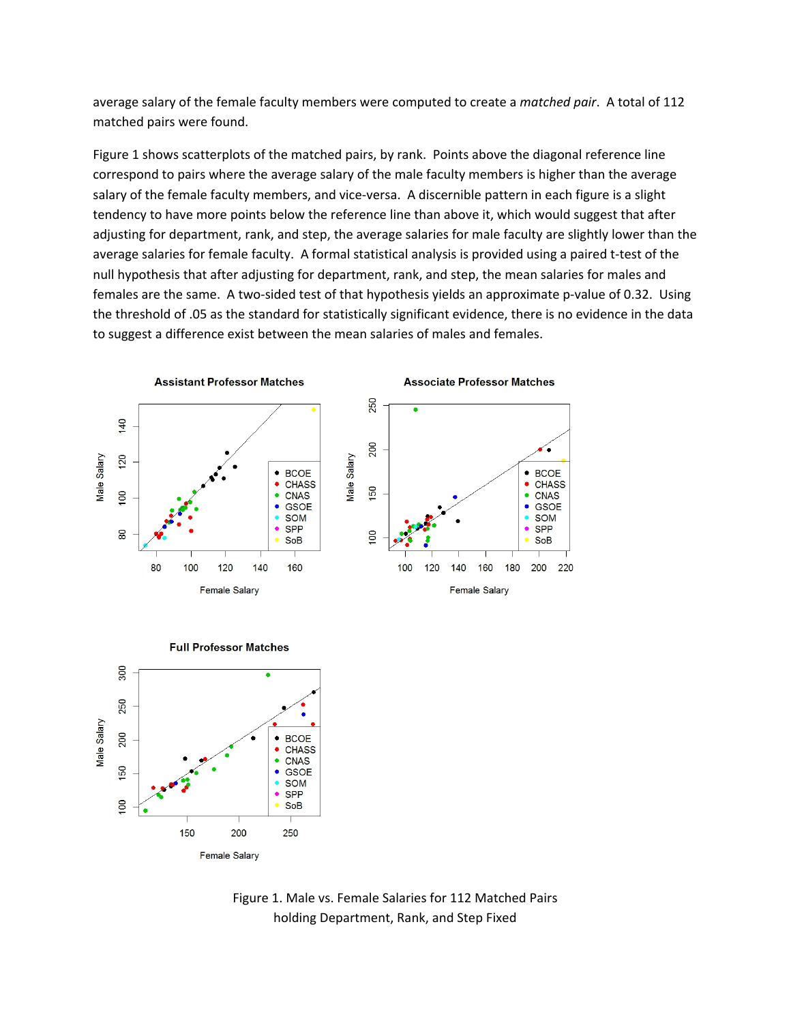average salary of the female faculty members were computed to create a *matched pair*. A total of 112 matched pairs were found.

Figure 1 shows scatterplots of the matched pairs, by rank. Points above the diagonal reference line correspond to pairs where the average salary of the male faculty members is higher than the average salary of the female faculty members, and vice-versa. A discernible pattern in each figure is a slight tendency to have more points below the reference line than above it, which would suggest that after adjusting for department, rank, and step, the average salaries for male faculty are slightly lower than the average salaries for female faculty. A formal statistical analysis is provided using a paired t‐test of the null hypothesis that after adjusting for department, rank, and step, the mean salaries for males and females are the same. A two-sided test of that hypothesis yields an approximate p-value of 0.32. Using the threshold of .05 as the standard for statistically significant evidence, there is no evidence in the data to suggest a difference exist between the mean salaries of males and females.





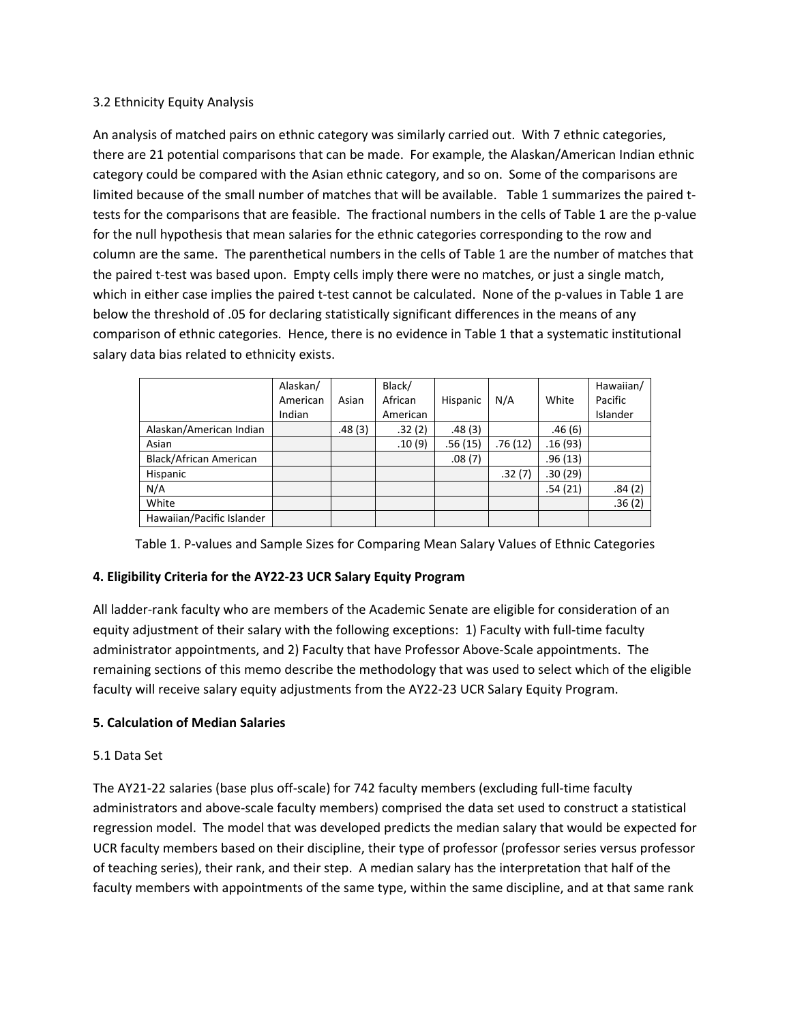### 3.2 Ethnicity Equity Analysis

An analysis of matched pairs on ethnic category was similarly carried out. With 7 ethnic categories, there are 21 potential comparisons that can be made. For example, the Alaskan/American Indian ethnic category could be compared with the Asian ethnic category, and so on. Some of the comparisons are limited because of the small number of matches that will be available. Table 1 summarizes the paired ttests for the comparisons that are feasible. The fractional numbers in the cells of Table 1 are the p-value for the null hypothesis that mean salaries for the ethnic categories corresponding to the row and column are the same. The parenthetical numbers in the cells of Table 1 are the number of matches that the paired t-test was based upon. Empty cells imply there were no matches, or just a single match, which in either case implies the paired t-test cannot be calculated. None of the p-values in Table 1 are below the threshold of .05 for declaring statistically significant differences in the means of any comparison of ethnic categories. Hence, there is no evidence in Table 1 that a systematic institutional salary data bias related to ethnicity exists.

|                           | Alaskan/<br>American<br>Indian | Asian  | Black/<br>African<br>American | Hispanic | N/A     | White   | Hawaiian/<br>Pacific<br>Islander |
|---------------------------|--------------------------------|--------|-------------------------------|----------|---------|---------|----------------------------------|
| Alaskan/American Indian   |                                | .48(3) | .32(2)                        | .48(3)   |         | .46(6)  |                                  |
| Asian                     |                                |        | .10(9)                        | .56(15)  | .76(12) | .16(93) |                                  |
| Black/African American    |                                |        |                               | .08(7)   |         | .96(13) |                                  |
| Hispanic                  |                                |        |                               |          | .32(7)  | .30(29) |                                  |
| N/A                       |                                |        |                               |          |         | .54(21) | .84(2)                           |
| White                     |                                |        |                               |          |         |         | .36(2)                           |
| Hawaiian/Pacific Islander |                                |        |                               |          |         |         |                                  |

Table 1. P-values and Sample Sizes for Comparing Mean Salary Values of Ethnic Categories

# **4. Eligibility Criteria for the AY22‐23 UCR Salary Equity Program**

All ladder‐rank faculty who are members of the Academic Senate are eligible for consideration of an equity adjustment of their salary with the following exceptions: 1) Faculty with full-time faculty administrator appointments, and 2) Faculty that have Professor Above‐Scale appointments. The remaining sections of this memo describe the methodology that was used to select which of the eligible faculty will receive salary equity adjustments from the AY22‐23 UCR Salary Equity Program.

# **5. Calculation of Median Salaries**

# 5.1 Data Set

The AY21-22 salaries (base plus off-scale) for 742 faculty members (excluding full-time faculty administrators and above‐scale faculty members) comprised the data set used to construct a statistical regression model. The model that was developed predicts the median salary that would be expected for UCR faculty members based on their discipline, their type of professor (professor series versus professor of teaching series), their rank, and their step. A median salary has the interpretation that half of the faculty members with appointments of the same type, within the same discipline, and at that same rank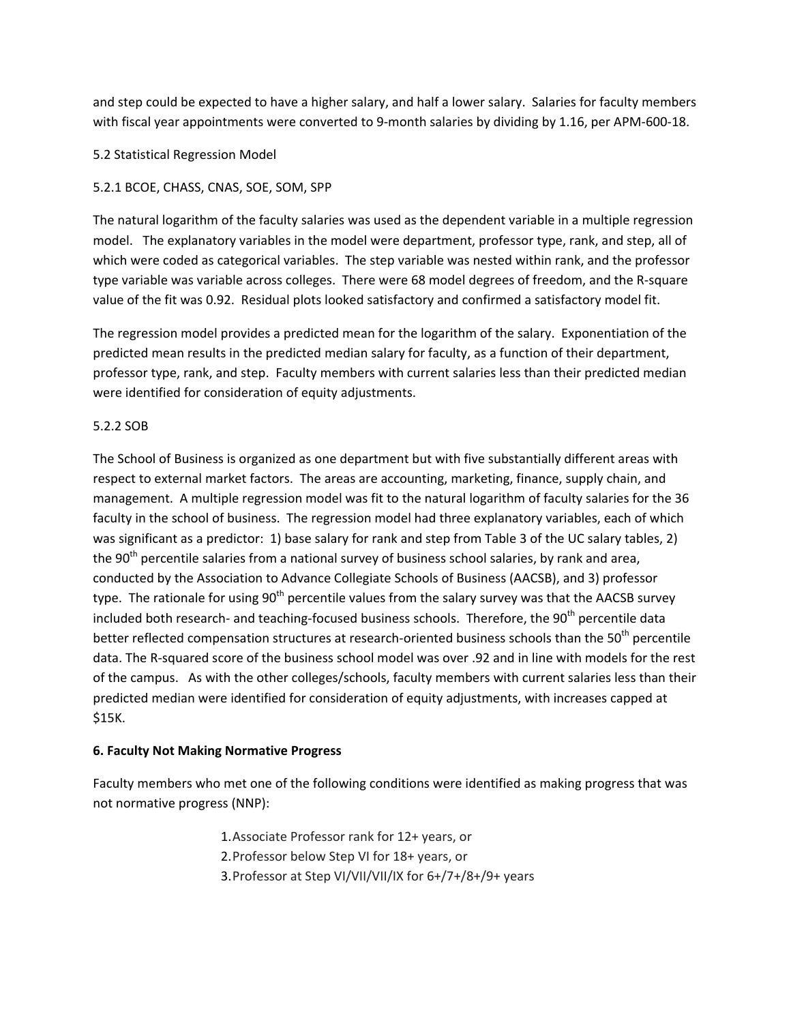and step could be expected to have a higher salary, and half a lower salary. Salaries for faculty members with fiscal year appointments were converted to 9-month salaries by dividing by 1.16, per APM-600-18.

### 5.2 Statistical Regression Model

### 5.2.1 BCOE, CHASS, CNAS, SOE, SOM, SPP

The natural logarithm of the faculty salaries was used as the dependent variable in a multiple regression model. The explanatory variables in the model were department, professor type, rank, and step, all of which were coded as categorical variables. The step variable was nested within rank, and the professor type variable was variable across colleges. There were 68 model degrees of freedom, and the R‐square value of the fit was 0.92. Residual plots looked satisfactory and confirmed a satisfactory model fit.

The regression model provides a predicted mean for the logarithm of the salary. Exponentiation of the predicted mean results in the predicted median salary for faculty, as a function of their department, professor type, rank, and step. Faculty members with current salaries less than their predicted median were identified for consideration of equity adjustments.

### 5.2.2 SOB

The School of Business is organized as one department but with five substantially different areas with respect to external market factors. The areas are accounting, marketing, finance, supply chain, and management. A multiple regression model was fit to the natural logarithm of faculty salaries for the 36 faculty in the school of business. The regression model had three explanatory variables, each of which was significant as a predictor: 1) base salary for rank and step from Table 3 of the UC salary tables, 2) the 90<sup>th</sup> percentile salaries from a national survey of business school salaries, by rank and area, conducted by the Association to Advance Collegiate Schools of Business (AACSB), and 3) professor type. The rationale for using  $90<sup>th</sup>$  percentile values from the salary survey was that the AACSB survey included both research- and teaching-focused business schools. Therefore, the 90<sup>th</sup> percentile data better reflected compensation structures at research-oriented business schools than the 50<sup>th</sup> percentile data. The R‐squared score of the business school model was over .92 and in line with models for the rest of the campus. As with the other colleges/schools, faculty members with current salaries less than their predicted median were identified for consideration of equity adjustments, with increases capped at \$15K.

### **6. Faculty Not Making Normative Progress**

Faculty members who met one of the following conditions were identified as making progress that was not normative progress (NNP):

> 1.Associate Professor rank for 12+ years, or 2.Professor below Step VI for 18+ years, or 3.Professor at Step VI/VII/VII/IX for 6+/7+/8+/9+ years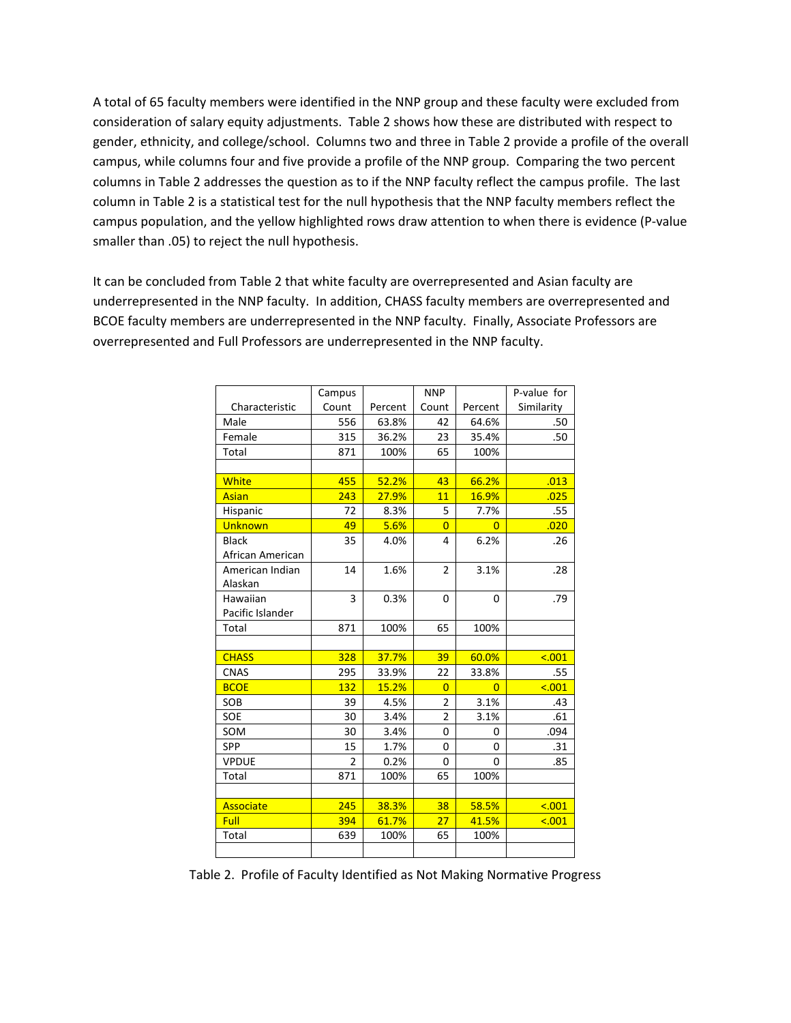A total of 65 faculty members were identified in the NNP group and these faculty were excluded from consideration of salary equity adjustments. Table 2 shows how these are distributed with respect to gender, ethnicity, and college/school. Columns two and three in Table 2 provide a profile of the overall campus, while columns four and five provide a profile of the NNP group. Comparing the two percent columns in Table 2 addresses the question as to if the NNP faculty reflect the campus profile. The last column in Table 2 is a statistical test for the null hypothesis that the NNP faculty members reflect the campus population, and the yellow highlighted rows draw attention to when there is evidence (P‐value smaller than .05) to reject the null hypothesis.

It can be concluded from Table 2 that white faculty are overrepresented and Asian faculty are underrepresented in the NNP faculty. In addition, CHASS faculty members are overrepresented and BCOE faculty members are underrepresented in the NNP faculty. Finally, Associate Professors are overrepresented and Full Professors are underrepresented in the NNP faculty.

|                  | Campus         |         | <b>NNP</b>     |                | P-value for |
|------------------|----------------|---------|----------------|----------------|-------------|
| Characteristic   | Count          | Percent | Count          | Percent        | Similarity  |
| Male             | 556            | 63.8%   | 42             | 64.6%          | .50         |
| Female           | 315            | 36.2%   | 23             | 35.4%          | .50         |
| Total            | 871            | 100%    | 65             | 100%           |             |
|                  |                |         |                |                |             |
| White            | 455            | 52.2%   | 43             | 66.2%          | .013        |
| <b>Asian</b>     | 243            | 27.9%   | 11             | 16.9%          | .025        |
| Hispanic         | 72             | 8.3%    | 5              | 7.7%           | .55         |
| <b>Unknown</b>   | 49             | 5.6%    | $\overline{0}$ | $\overline{0}$ | .020        |
| <b>Black</b>     | 35             | 4.0%    | 4              | 6.2%           | .26         |
| African American |                |         |                |                |             |
| American Indian  | 14             | 1.6%    | $\overline{2}$ | 3.1%           | .28         |
| Alaskan          |                |         |                |                |             |
| Hawaiian         | 3              | 0.3%    | 0              | $\Omega$       | .79         |
| Pacific Islander |                |         |                |                |             |
| Total            | 871            | 100%    | 65             | 100%           |             |
|                  |                |         |                |                |             |
| <b>CHASS</b>     | 328            | 37.7%   | 39             | 60.0%          | < .001      |
| <b>CNAS</b>      | 295            | 33.9%   | 22             | 33.8%          | .55         |
| <b>BCOE</b>      | 132            | 15.2%   | $\overline{0}$ | $\overline{0}$ | < .001      |
| SOB              | 39             | 4.5%    | $\overline{2}$ | 3.1%           | .43         |
| <b>SOE</b>       | 30             | 3.4%    | $\overline{2}$ | 3.1%           | .61         |
| SOM              | 30             | 3.4%    | 0              | 0              | .094        |
| SPP              | 15             | 1.7%    | 0              | 0              | .31         |
| <b>VPDUE</b>     | $\overline{2}$ | 0.2%    | $\Omega$       | $\Omega$       | .85         |
| Total            | 871            | 100%    | 65             | 100%           |             |
|                  |                |         |                |                |             |
| <b>Associate</b> | 245            | 38.3%   | 38             | 58.5%          | 5.001       |
| Full             | 394            | 61.7%   | 27             | 41.5%          | < .001      |
| Total            | 639            | 100%    | 65             | 100%           |             |
|                  |                |         |                |                |             |

Table 2. Profile of Faculty Identified as Not Making Normative Progress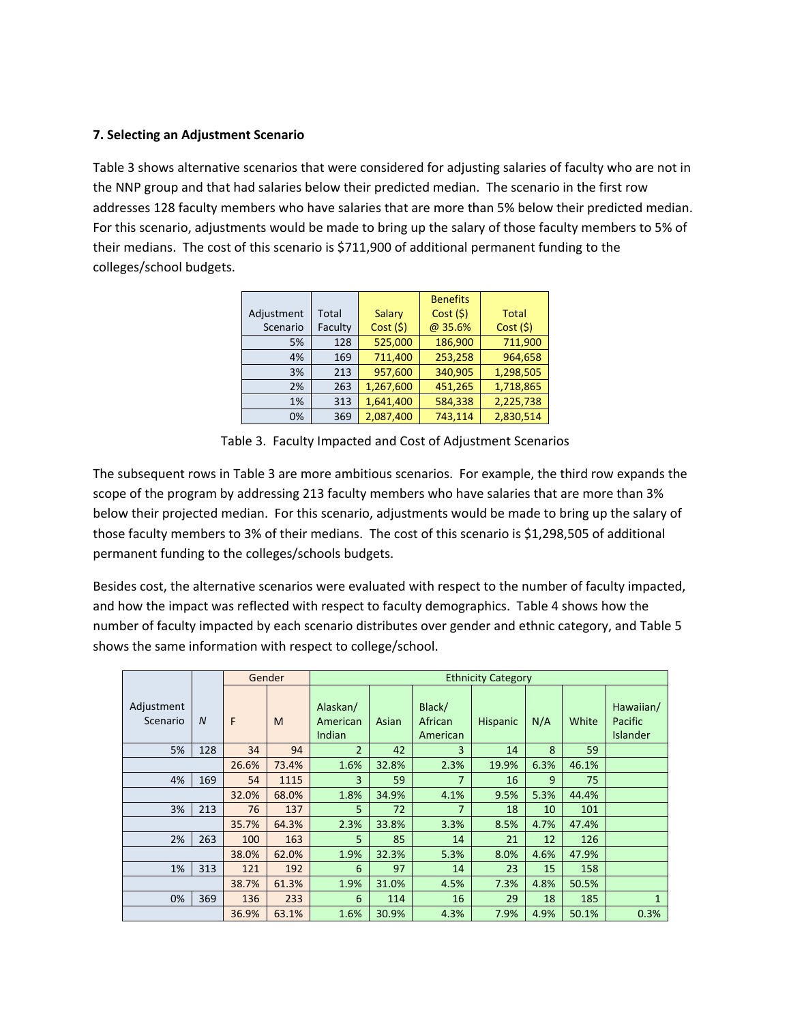### **7. Selecting an Adjustment Scenario**

Table 3 shows alternative scenarios that were considered for adjusting salaries of faculty who are not in the NNP group and that had salaries below their predicted median. The scenario in the first row addresses 128 faculty members who have salaries that are more than 5% below their predicted median. For this scenario, adjustments would be made to bring up the salary of those faculty members to 5% of their medians. The cost of this scenario is \$711,900 of additional permanent funding to the colleges/school budgets.

|            |         |           | <b>Benefits</b> |              |
|------------|---------|-----------|-----------------|--------------|
| Adjustment | Total   | Salary    | Cost (5)        | <b>Total</b> |
| Scenario   | Faculty | Cost(5)   | @ 35.6%         | Cost(5)      |
| 5%         | 128     | 525,000   | 186,900         | 711,900      |
| 4%         | 169     | 711,400   | 253,258         | 964,658      |
| 3%         | 213     | 957,600   | 340,905         | 1,298,505    |
| 2%         | 263     | 1,267,600 | 451,265         | 1,718,865    |
| 1%         | 313     | 1,641,400 | 584,338         | 2,225,738    |
| 0%         | 369     | 2,087,400 | 743.114         | 2,830,514    |

Table 3. Faculty Impacted and Cost of Adjustment Scenarios

The subsequent rows in Table 3 are more ambitious scenarios. For example, the third row expands the scope of the program by addressing 213 faculty members who have salaries that are more than 3% below their projected median. For this scenario, adjustments would be made to bring up the salary of those faculty members to 3% of their medians. The cost of this scenario is \$1,298,505 of additional permanent funding to the colleges/schools budgets.

Besides cost, the alternative scenarios were evaluated with respect to the number of faculty impacted, and how the impact was reflected with respect to faculty demographics. Table 4 shows how the number of faculty impacted by each scenario distributes over gender and ethnic category, and Table 5 shows the same information with respect to college/school.

|                        |                |       | Gender | <b>Ethnicity Category</b>      |       |                               |                 |      |       |                                         |
|------------------------|----------------|-------|--------|--------------------------------|-------|-------------------------------|-----------------|------|-------|-----------------------------------------|
| Adjustment<br>Scenario | $\overline{N}$ | F     | M      | Alaskan/<br>American<br>Indian | Asian | Black/<br>African<br>American | <b>Hispanic</b> | N/A  | White | Hawaiian/<br>Pacific<br><b>Islander</b> |
| 5%                     | 128            | 34    | 94     | $\overline{2}$                 | 42    | 3                             | 14              | 8    | 59    |                                         |
|                        |                | 26.6% | 73.4%  | 1.6%                           | 32.8% | 2.3%                          | 19.9%           | 6.3% | 46.1% |                                         |
| 4%                     | 169            | 54    | 1115   | 3                              | 59    | 7                             | 16              | 9    | 75    |                                         |
|                        |                | 32.0% | 68.0%  | 1.8%                           | 34.9% | 4.1%                          | 9.5%            | 5.3% | 44.4% |                                         |
| 3%                     | 213            | 76    | 137    | 5                              | 72    | 7                             | 18              | 10   | 101   |                                         |
|                        |                | 35.7% | 64.3%  | 2.3%                           | 33.8% | 3.3%                          | 8.5%            | 4.7% | 47.4% |                                         |
| 2%                     | 263            | 100   | 163    | 5                              | 85    | 14                            | 21              | 12   | 126   |                                         |
|                        |                | 38.0% | 62.0%  | 1.9%                           | 32.3% | 5.3%                          | 8.0%            | 4.6% | 47.9% |                                         |
| 1%                     | 313            | 121   | 192    | 6                              | 97    | 14                            | 23              | 15   | 158   |                                         |
|                        |                | 38.7% | 61.3%  | 1.9%                           | 31.0% | 4.5%                          | 7.3%            | 4.8% | 50.5% |                                         |
| 0%                     | 369            | 136   | 233    | 6                              | 114   | 16                            | 29              | 18   | 185   | $\mathbf{1}$                            |
|                        |                | 36.9% | 63.1%  | 1.6%                           | 30.9% | 4.3%                          | 7.9%            | 4.9% | 50.1% | 0.3%                                    |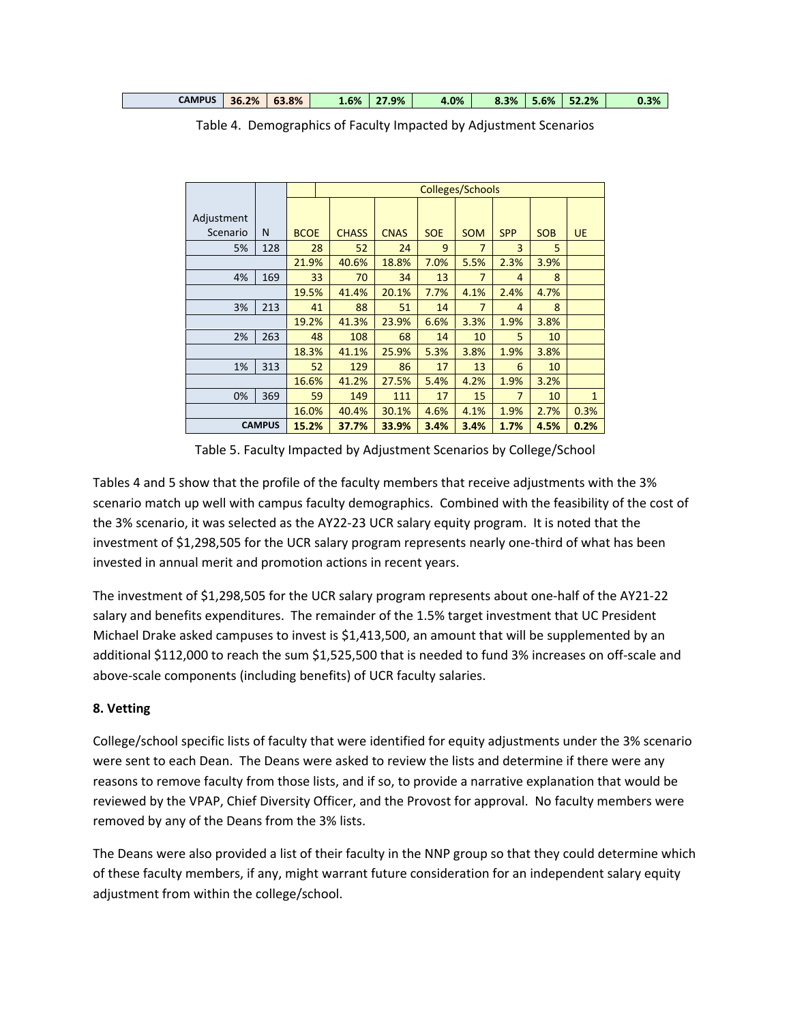| <b>CAMPUS</b><br>36.2% | 63.8% | $-6\%$ | .9% | 4.0% | 8.3% | 5.6% | 52.2% | 0.3% |
|------------------------|-------|--------|-----|------|------|------|-------|------|
|------------------------|-------|--------|-----|------|------|------|-------|------|

|            |               | <b>Colleges/Schools</b> |              |             |            |            |                |            |              |
|------------|---------------|-------------------------|--------------|-------------|------------|------------|----------------|------------|--------------|
|            |               |                         |              |             |            |            |                |            |              |
| Adjustment |               |                         |              |             |            |            |                |            |              |
| Scenario   | N             | <b>BCOE</b>             | <b>CHASS</b> | <b>CNAS</b> | <b>SOE</b> | <b>SOM</b> | <b>SPP</b>     | <b>SOB</b> | <b>UE</b>    |
| 5%         | 128           | 28                      | 52           | 24          | 9          | 7          | 3              | 5          |              |
|            |               | 21.9%                   | 40.6%        | 18.8%       | 7.0%       | 5.5%       | 2.3%           | 3.9%       |              |
| 4%         | 169           | 33                      | 70           | 34          | 13         | 7          | 4              | 8          |              |
|            |               | 19.5%                   | 41.4%        | 20.1%       | 7.7%       | 4.1%       | 2.4%           | 4.7%       |              |
| 3%         | 213           | 41                      | 88           | 51          | 14         | 7          | 4              | 8          |              |
|            |               | 19.2%                   | 41.3%        | 23.9%       | 6.6%       | 3.3%       | 1.9%           | 3.8%       |              |
| 2%         | 263           | 48                      | 108          | 68          | 14         | 10         | 5              | 10         |              |
|            |               | 18.3%                   | 41.1%        | 25.9%       | 5.3%       | 3.8%       | 1.9%           | 3.8%       |              |
| 1%         | 313           | 52                      | 129          | 86          | 17         | 13         | 6              | 10         |              |
|            |               | 16.6%                   | 41.2%        | 27.5%       | 5.4%       | 4.2%       | 1.9%           | 3.2%       |              |
| 0%         | 369           | 59                      | 149          | 111         | 17         | 15         | $\overline{7}$ | 10         | $\mathbf{1}$ |
|            |               | 16.0%                   | 40.4%        | 30.1%       | 4.6%       | 4.1%       | 1.9%           | 2.7%       | 0.3%         |
|            | <b>CAMPUS</b> | 15.2%                   | 37.7%        | 33.9%       | 3.4%       | 3.4%       | 1.7%           | 4.5%       | 0.2%         |

Table 4. Demographics of Faculty Impacted by Adjustment Scenarios

Table 5. Faculty Impacted by Adjustment Scenarios by College/School

Tables 4 and 5 show that the profile of the faculty members that receive adjustments with the 3% scenario match up well with campus faculty demographics. Combined with the feasibility of the cost of the 3% scenario, it was selected as the AY22‐23 UCR salary equity program. It is noted that the investment of \$1,298,505 for the UCR salary program represents nearly one‐third of what has been invested in annual merit and promotion actions in recent years.

The investment of \$1,298,505 for the UCR salary program represents about one‐half of the AY21‐22 salary and benefits expenditures. The remainder of the 1.5% target investment that UC President Michael Drake asked campuses to invest is \$1,413,500, an amount that will be supplemented by an additional \$112,000 to reach the sum \$1,525,500 that is needed to fund 3% increases on off‐scale and above‐scale components (including benefits) of UCR faculty salaries.

### **8. Vetting**

College/school specific lists of faculty that were identified for equity adjustments under the 3% scenario were sent to each Dean. The Deans were asked to review the lists and determine if there were any reasons to remove faculty from those lists, and if so, to provide a narrative explanation that would be reviewed by the VPAP, Chief Diversity Officer, and the Provost for approval. No faculty members were removed by any of the Deans from the 3% lists.

The Deans were also provided a list of their faculty in the NNP group so that they could determine which of these faculty members, if any, might warrant future consideration for an independent salary equity adjustment from within the college/school.